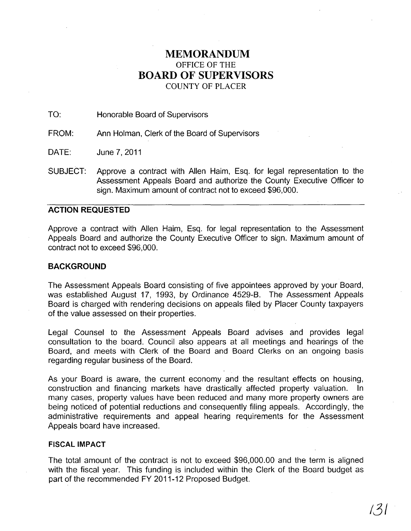# **MEMORANDUM**  OFFICE OF THE **BOARD OF SUPERVISORS**  COUNTY OF PLACER

TO: Honorable Board of Supervisors

FROM: Ann Holman, Clerk of the Board of Supervisors

DATE: June 7,2011

SUBJECT: Approve a contract with Allen Haim, Esq. for legal representation to the Assessment Appeals Board and authorize the County Executive Officer to sign. Maximum amount of contract not to exceed \$96,000.

# **ACTION REQUESTED**

Approve a contract with Allen Haim, Esq. for legal representation to the Assessment Appeals Board and authorize the County Executive Officer to sign. Maximum amount of contract not to exceed \$96,000.

## **BACKGROUND**

The Assessment Appeals Board consisting of five appointees approved by your Board, was established August 17, 1993, by Ordinance 4529-B. The Assessment Appeals Board is charged with rendering decisions on appeals filed by Placer County taxpayers of the value assessed on their properties.

Legal Counsel to the Assessment Appeals Board advises and provides legal consultation to the board. Council also appears at all meetings and hearings of the Board, and meets with Clerk of the Board and Board Clerks on an ongoing basis regarding regular business of the Board.

As your Board is aware, the current economy and the resultant effects on housing, construction and financing markets have drastically affected property valuation. In many cases, property values have been reduced and many more property owners are being noticed of potential reductions and consequently filing appeals. Accordingly, the administrative requirements and appeal hearing requirements for the Assessment Appeals board have increased.

### **FISCAL IMPACT**

The total amount of the contract is not to exceed \$96,000.00 and the term is aligned with the fiscal year. This funding is included within the Clerk of the Board budget as part of the recommended FY 2011-12 Proposed Budget.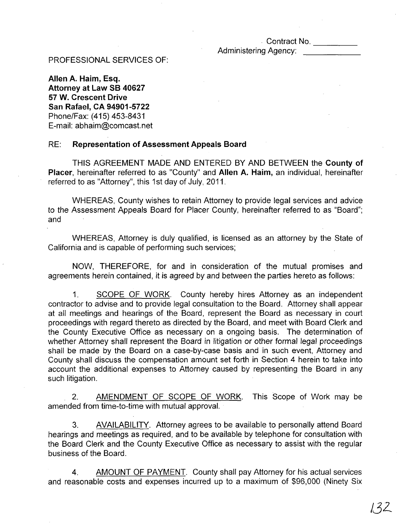# · Contract No. ----

Administering Agency:

## PROFESSIONAL SERVICES OF:

Allen A. Haim, Esq. Attorney at Law SB 40627 57 W. Crescent Drive San Rafael, CA 94901-5722 Phone/Fax: (415) 453-8431 E-mail: abhaim@comcast.net

### RE: Representation of Assessment Appeals Board

THIS AGREEMENT MADE AND ENTERED BY AND BETWEEN the County of Placer, hereinafter referred to as "County" and Allen A. Haim, an individual, hereinafter referred to as "Attorney", this 1st day of July, 2011.

WHEREAS, County wishes to retain Attorney to provide legal services and advice to the Assessment Appeals Board for Placer County, hereinafter referred to as "Board"; and

WHEREAS, Attorney is duly qualified, is licensed as an attorney by the State of California and is capable of performing such services;

NOW, THEREFORE, for and in consideration of the mutual promises and agreements herein contained, it is agreed by and between the parties hereto as follows:

1. SCOPE OF WORK. County hereby hires Attorney as an independent contractor to advise and to provide legal consultation to the Board. Attorney shall appear at all meetings and hearings of the Board, represent the Board as necessary in court proceedings with regard thereto as directed by the Board, and meet with Board Clerk and the County Executive Office as necessary on a ongoing basis. The determination of whether Attorney shall represent the Board in litigation or other formal legal proceedings shall be made by the Board on a case-by-case basis and in such event, Attorney and County shall discuss the compensation amount set forth in Section 4 herein to take into account the additional expenses to Attorney caused by representing the Board in any such litigation.

2. AMENDMENT OF SCOPE OF WORK. This Scope of Work may be amended from time-to-time with mutual approval.

3. AVAILABILITY. Attorney agrees to be available to personally attend Board hearings and meetings as required, and to be available by telephone for consultation with the Board Clerk and the County Executive Office as necessary to assist with the regular business of the Board.

4. AMOUNT OF PAYMENT. County shall pay Attorney for his actual services and reasonable costs and expenses incurred up to a maximum of \$96,000 (Ninety Six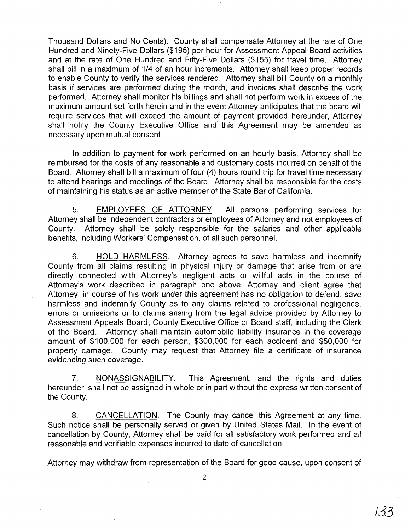Thousand Dollars and No Cents}. County shall compensate Attorney at the rate of One Hundred and Ninety-Five Dollars (\$195) per hour for Assessment Appeal Board activities and at the rate of One Hundred and Fifty-Five Dollars (\$155) for travel time. Attorney shall bill in a maximum of 1/4 of an hour increments. Attorney shall keep proper records to enable County to verify the services rendered. Attorney shall bill County on a monthly basis if services are performed during the month, and invoices shall describe the work performed. Attorney shall monitor his billings and shall not perform work in excess of the maximum amount set forth herein and in the event Attorney anticipates that the board will require services that will exceed the amount of payment provided hereunder, Attorney shall notify the County Executive Office and this Agreement may be amended as necessary upon mutual consent.

In addition to payment for work performed on an hourly basis, Attorney shall be reimbursed for the costs of any reasonable and customary costs incurred on behalf of the Board. Attorney shall bill a maximum of four (4) hours round trip for travel time necessary to attend hearings and meetings of the Board. Attorney shall be responsible for the costs of maintaining his status as an active member of the State Bar of California.

5. EMPLOYEES OF ATTORNEY. All persons performing services for Attorney shall be independent contractors or employees of Attorney and not employees of County. Attorney shall be solely responsible for the salaries and other applicable benefits, including Workers' Compensation, of all such personnel.

6. HOLD HARMLESS. Attorney agrees to save harmless and indemnify County from all claims resulting in physical injury or damage that arise from or are directly connected with Attorney's negligent acts or willful acts in the course of Attorney's work described in paragraph one above. Attorney and client agree that Attorney, in course of his work under this agreement has no obligation to defend, save harmless and indemnify County as to any claims related to professional negligence, errors or omissions or to claims arising from the legal advice provided by Attorney to Assessment Appeals Board, County Executive Office or Board staff, including the Clerk of the Board.. Attorney shall maintain automobile liability insurance in the coverage amount of \$100,000 for each person, \$300,000 for each accident and \$50,000 for property damage. County may request that Attorney file a certificate of insurance evidencing such coverage.

7. NONASSIGNABILITY. This Agreement, and the rights and duties hereunder, shall not be assigned in whole or in part without the express written consent of the County.

8. CANCELLATION. The County may cancel this Agreement at any time. Such notice shall be personally served or given by United States Mail. In the event of cancellation by County, Attorney shall be paid for all satisfactory work performed and all reasonable and verifiable expenses incurred to date of cancellation.

Attorney may withdraw from representation of the Board for good cause, upon consent of